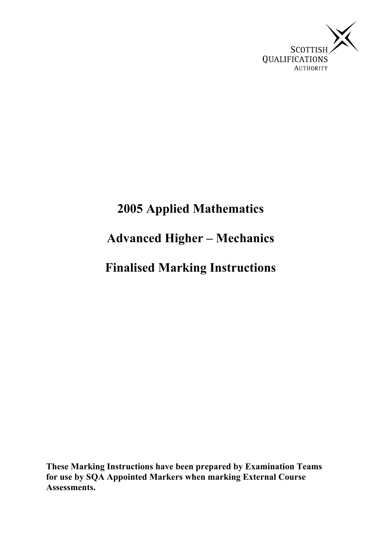

# **2005 Applied Mathematics Advanced Higher – Mechanics Finalised Marking Instructions**

**These Marking Instructions have been prepared by Examination Teams for use by SQA Appointed Markers when marking External Course Assessments.**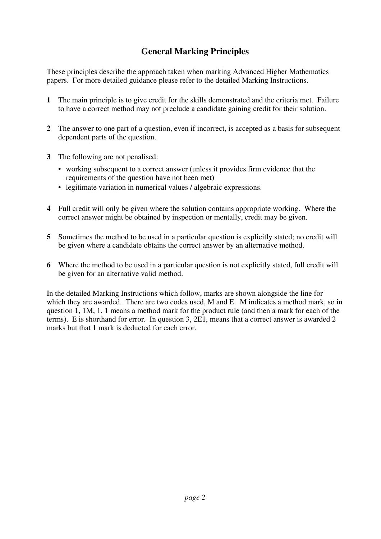### **General Marking Principles**

These principles describe the approach taken when marking Advanced Higher Mathematics papers. For more detailed guidance please refer to the detailed Marking Instructions.

- **1** The main principle is to give credit for the skills demonstrated and the criteria met. Failure to have a correct method may not preclude a candidate gaining credit for their solution.
- **2** The answer to one part of a question, even if incorrect, is accepted as a basis for subsequent dependent parts of the question.
- **3** The following are not penalised:
	- working subsequent to a correct answer (unless it provides firm evidence that the requirements of the question have not been met)
	- legitimate variation in numerical values / algebraic expressions.
- **4** Full credit will only be given where the solution contains appropriate working. Where the correct answer might be obtained by inspection or mentally, credit may be given.
- **5** Sometimes the method to be used in a particular question is explicitly stated; no credit will be given where a candidate obtains the correct answer by an alternative method.
- **6** Where the method to be used in a particular question is not explicitly stated, full credit will be given for an alternative valid method.

In the detailed Marking Instructions which follow, marks are shown alongside the line for which they are awarded. There are two codes used, M and E. M indicates a method mark, so in question 1, 1M, 1, 1 means a method mark for the product rule (and then a mark for each of the terms). E is shorthand for error. In question 3, 2E1, means that a correct answer is awarded 2 marks but that 1 mark is deducted for each error.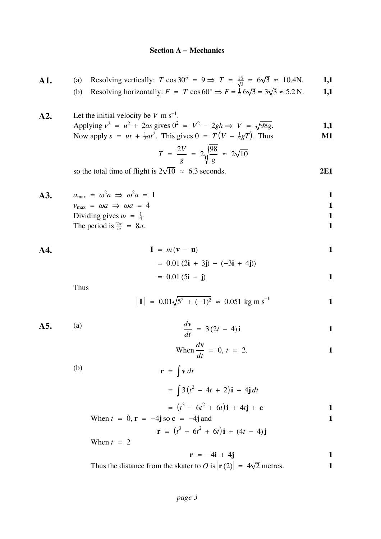#### **Section A − Mechanics**

- **A1.** (a) Resolving vertically:  $T \cos 30^\circ = 9 \Rightarrow T = \frac{18}{\sqrt{3}} = 6\sqrt{3} \approx 10.4$ N. **1,1** 
	- (b) Resolving horizontally:  $F = T \cos 60^\circ \Rightarrow F = \frac{1}{2} 6\sqrt{3} = 3\sqrt{3} \approx 5.2 \text{ N}.$  1,1
- **A2.** Let the initial velocity be  $V \text{ m s}^{-1}$ . Applying  $v^2 = u^2 + 2as$  gives  $0^2 = V^2 - 2gh \Rightarrow V = \sqrt{98g}$ . 1,1 Now apply  $s = ut + \frac{1}{2}at^2$ . This gives  $0 = T(V - \frac{1}{2}gT)$ . Thus **M1**

$$
T = \frac{2V}{g} = 2\sqrt{\frac{98}{g}} \approx 2\sqrt{10}
$$

so the total time of flight is  $2\sqrt{10} \approx 6.3$  seconds. 2E1

**A3.**  $a_{\text{max}} = \omega^2 a \Rightarrow \omega^2 a = 1$  $v_{\text{max}} = \omega a \implies \omega a = 4$  1 Dividing gives  $\omega = \frac{1}{4}$  1 The period is  $\frac{2\pi}{\omega} = 8\pi$ .

**A4.** 
$$
\mathbf{I} = m(\mathbf{v} - \mathbf{u})
$$

$$
= 0.01 (2\mathbf{i} + 3\mathbf{j}) - (-3\mathbf{i} + 4\mathbf{j}))
$$

$$
= 0.01 (5\mathbf{i} - \mathbf{j})
$$

Thus

$$
|\mathbf{I}| = 0.01\sqrt{5^2 + (-1)^2} \approx 0.051 \text{ kg m s}^{-1}
$$

**A5.** (a)  $\frac{d\mathbf{v}}{d\mathbf{v}}$ 

$$
\frac{d\mathbf{v}}{dt} = 3(2t - 4)\mathbf{i}
$$

When 
$$
\frac{d\mathbf{v}}{dt} = 0
$$
,  $t = 2$ .

(b)  
\n
$$
\mathbf{r} = \int \mathbf{v} dt
$$
\n
$$
= \int 3(t^2 - 4t + 2)\mathbf{i} + 4\mathbf{j} dt
$$
\n
$$
= (t^3 - 6t^2 + 6t)\mathbf{i} + 4t\mathbf{j} + \mathbf{c}
$$
\n
$$
\text{When } t = 0, \mathbf{r} = -4\mathbf{j} \text{ so } \mathbf{c} = -4\mathbf{j} \text{ and}
$$
\n
$$
\mathbf{r} = -4\mathbf{j} + 6\mathbf{k}
$$

$$
\mathbf{r} = (t^3 - 6t^2 + 6t)\mathbf{i} + (4t - 4)\mathbf{j}
$$

When  $t = 2$ 

$$
\mathbf{r} = -4\mathbf{i} + 4\mathbf{j} \tag{1}
$$

Thus the distance from the skater to O is  $|\mathbf{r}(2)| = 4\sqrt{2}$  metres. **1**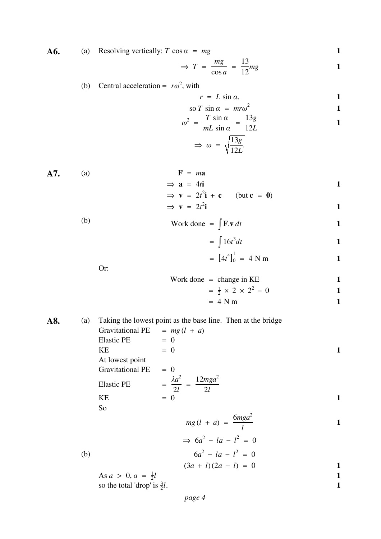**A6.** (a) Resolving vertically: 
$$
T \cos \alpha = mg
$$
 1

$$
\Rightarrow T = \frac{mg}{\cos a} = \frac{13}{12}mg
$$

## (b) Central acceleration =  $r\omega^2$ , with

$$
r = L \sin \alpha.
$$

$$
\text{so } T \sin \alpha = m r \omega^2 \tag{1}
$$

$$
\omega^2 = \frac{T \sin \alpha}{mL \sin \alpha} = \frac{13g}{12L}
$$

$$
\Rightarrow \omega = \sqrt{\frac{13g}{12L}}.
$$

A7. (a)  
\n
$$
\Rightarrow \mathbf{a} = 4t\mathbf{i}
$$
\n
$$
\Rightarrow \mathbf{v} = 2t^2\mathbf{i} + \mathbf{c} \quad (\text{but } \mathbf{c} = 0)
$$

$$
\Rightarrow \mathbf{v} = 2t^2 \mathbf{i}
$$

$$
\text{Work done} = \int \mathbf{F} \cdot \mathbf{v} \, dt
$$

$$
= \int 16t^3 dt
$$

$$
= [4t4]01 = 4 N m
$$
 1

Or:

Work done = change in KE  
= 
$$
\frac{1}{2} \times 2 \times 2^2 - 0
$$
  
= 4 N m  
1

**A8.** (a) Taking the lowest point as the base line. Then at the bridge  
Gravitational PE = 
$$
mg(l + a)
$$

Elastic PE = 0

\nKE = 0

\nAt lowest point

\nGravitational PE = 0

\nElastic PE = 
$$
\frac{\lambda a^2}{2l} = \frac{12mga^2}{2l}
$$

\nKE = 0

\n1

So

$$
mg(l + a) = \frac{6mga^2}{l}
$$

(b) 
$$
\Rightarrow 6a^2 - 1a - l^2 = 0
$$

$$
6a^2 - 1a - l^2 = 0
$$

 $(3a + l)(2a - l) = 0$  **1** 

As  $a > 0, a = \frac{1}{2}l$ so the total 'drop' is  $\frac{3}{2}l$ .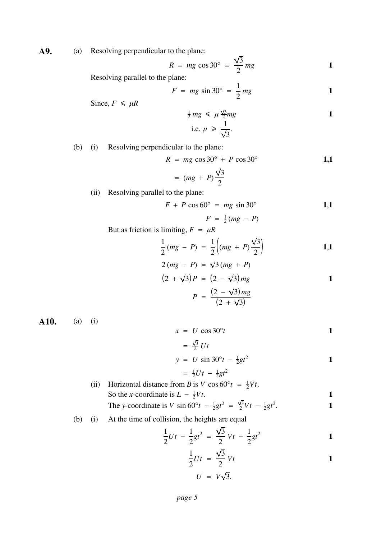**A9.** (a) Resolving perpendicular to the plane:

$$
R = mg \cos 30^\circ = \frac{\sqrt{3}}{2} mg
$$

Resolving parallel to the plane:

$$
F = mg \sin 30^\circ = \frac{1}{2} mg
$$
 1

Since, 
$$
F \leq \mu R
$$

$$
\frac{1}{2}mg \le \mu \frac{\sqrt{3}}{2}mg
$$
  
i.e.  $\mu \ge \frac{1}{\sqrt{3}}$ .

(b) (i) Resolving perpendicular to the plane:

$$
R = mg \cos 30^\circ + P \cos 30^\circ
$$
 **1,1**

$$
= (mg + P)\frac{\sqrt{3}}{2}
$$

(ii) Resolving parallel to the plane:

$$
F + P \cos 60^\circ = mg \sin 30^\circ \tag{1.1}
$$

$$
F = \frac{1}{2}(mg - P)
$$

But as friction is limiting,  $F = \mu R$ 

$$
\frac{1}{2}(mg - P) = \frac{1}{2}\left((mg + P)\frac{\sqrt{3}}{2}\right)
$$
  
2 (mg - P) =  $\sqrt{3}(mg + P)$ 

$$
2(mg - P) = \sqrt{3} (mg + P)
$$
  
(2 +  $\sqrt{3}$ ) P = (2 -  $\sqrt{3}$ ) mg  

$$
P = \frac{(2 - \sqrt{3})mg}{(2 + \sqrt{3})}
$$

**A10.** (a) (i)

$$
x = U \cos 30^\circ t \tag{1}
$$

$$
= \frac{\sqrt{3}}{2} U t
$$

$$
y = U \sin 30^\circ t - \frac{1}{2}gt^2
$$

$$
\tfrac{1}{2}Ut - \tfrac{1}{2}gt^2
$$

- (ii) Horizontal distance from *B* is *V* cos  $60^{\circ}t = \frac{1}{2}Vt$ . So the *x*-coordinate is  $L - \frac{1}{2}Vt$ . 1 The y-coordinate is V sin  $60^{\circ}t - \frac{1}{2}gt^2 = \frac{\sqrt{3}}{2}Vt - \frac{1}{2}gt^2$ .
- (b) (i) At the time of collision, the heights are equal

$$
\frac{1}{2}Ut - \frac{1}{2}gt^2 = \frac{\sqrt{3}}{2}Vt - \frac{1}{2}gt^2
$$

$$
\frac{1}{2}Ut = \frac{\sqrt{3}}{2}Vt
$$
  

$$
U = V\sqrt{3}.
$$

$$
U = V\sqrt{ }
$$

= <sup>1</sup>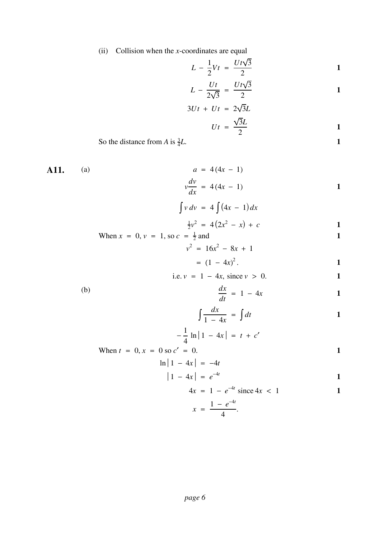(ii) Collision when the *x*-coordinates are equal

$$
L - \frac{1}{2}Vt = \frac{Ut\sqrt{3}}{2}
$$

$$
L - \frac{Ut}{2\sqrt{3}} = \frac{Ut\sqrt{3}}{2}
$$

$$
3Ut + Ut = 2\sqrt{3}L
$$

$$
\sqrt{3}L
$$

$$
Ut = \frac{\sqrt{3}L}{2}
$$

So the distance from A is  $\frac{3}{4}L$ .

**A11.** (a) 
$$
a = 4(4x - 1)
$$
  
 $v \frac{dv}{dx} = 4(4x - 1)$ 

$$
\int v\,dv\ =\ 4\int (4x\ -\ 1)\,dx
$$

$$
\frac{1}{2}v^2 = 4(2x^2 - x) + c \qquad \qquad 1
$$

When 
$$
x = 0
$$
,  $v = 1$ , so  $c = \frac{1}{2}$  and  

$$
v^2 = 16x^2 - 8x + 1
$$

$$
= (1 - 4x)^2.
$$

i.e. 
$$
v = 1 - 4x
$$
, since  $v > 0$ .

$$
\frac{dx}{dt} = 1 - 4x \qquad \qquad 1
$$

$$
\int \frac{dx}{1-4x} = \int dt
$$

$$
-\frac{1}{4}\ln|1-4x| = t + c'
$$

When 
$$
t = 0
$$
,  $x = 0$  so  $c' = 0$ .  
\n
$$
\ln |1 - 4x| = -4t
$$

$$
n|1 - 4x| = -4t
$$
  

$$
|1 - 4x| = e^{-4t}
$$

$$
4x = 1 - e^{-4t} \text{ since } 4x < 1 \tag{1}
$$

$$
x = \frac{1 - e^{-4t}}{4}.
$$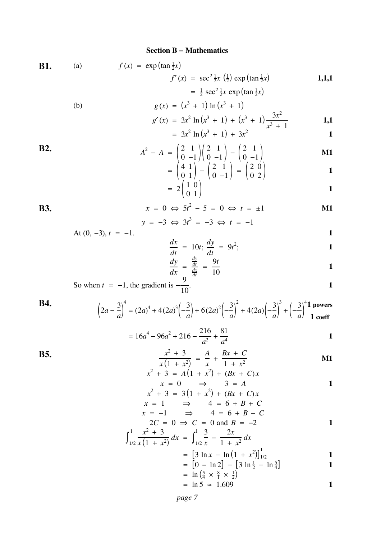#### **Section B − Mathematics**

**B1.** (a) 
$$
f(x) = \exp(\tan \frac{1}{2}x)
$$
  
\n $f'(x) = \sec^2 \frac{1}{2}x(\frac{1}{2}) \exp(\tan \frac{1}{2}x)$   
\n $= \frac{1}{2} \sec^2 \frac{1}{2}x \exp(\tan \frac{1}{2}x)$   
\n(b)  $g(x) = (x^3 + 1) \ln(x^3 + 1)$ 

$$
g(x) = (x + 1) \ln(x + 1)
$$
  
\n
$$
g'(x) = 3x^2 \ln(x^3 + 1) + (x^3 + 1) \frac{3x^2}{x^3 + 1}
$$
\n1,1

$$
= 3x^2 \ln(x^3 + 1) + 3x^2
$$

B2. 
$$
A^{2} - A = \begin{pmatrix} 2 & 1 \\ 0 & -1 \end{pmatrix} \begin{pmatrix} 2 & 1 \\ 0 & -1 \end{pmatrix} - \begin{pmatrix} 2 & 1 \\ 0 & -1 \end{pmatrix}
$$
 **M1**
$$
= \begin{pmatrix} 4 & 1 \\ 1 & 1 \end{pmatrix} - \begin{pmatrix} 2 & 1 \\ 1 & 1 \end{pmatrix} - \begin{pmatrix} 2 & 0 \\ 0 & 1 \end{pmatrix}
$$

$$
= \begin{pmatrix} 4 & 1 \\ 0 & 1 \end{pmatrix} - \begin{pmatrix} 2 & 1 \\ 0 & -1 \end{pmatrix} = \begin{pmatrix} 2 & 0 \\ 0 & 2 \end{pmatrix}
$$

$$
= 2\begin{pmatrix} 1 & 0 \\ 0 & 1 \end{pmatrix} \qquad \qquad \qquad 1
$$

B3. 
$$
x = 0 \Leftrightarrow 5t^2 - 5 = 0 \Leftrightarrow t = \pm 1
$$
  
\n $y = -3 \Leftrightarrow 3t^3 = -3 \Leftrightarrow t = -1$ 

$$
y = -3 \Leftrightarrow 3t = -3 \Leftrightarrow t = -1
$$
  
At (0, -3),  $t = -1$ .

$$
\frac{dx}{dt} = 10t; \frac{dy}{dt} = 9t^2;
$$

$$
\frac{dy}{dx} = \frac{\frac{dy}{dt}}{\frac{dx}{dt}} = \frac{9t}{10}
$$

So when 
$$
t = -1
$$
, the gradient is  $-\frac{9}{10}$ .

So when 
$$
t = -1
$$
, the gradient is  $-\frac{7}{10}$ .

**B4.**  $\left(2a-\frac{3}{a}\right)$ 4  $= (2a)^4 + 4(2a)^3 \left(-\frac{3}{a}\right) + 6(2a)^2 \left(-\frac{3}{a}\right)$ <sup>2</sup> + 4(2*a*) $\left(-\frac{3}{a}\right)$  $+\left(-\frac{3}{a}\right)$ 4 **1 powers 1 coeff**

$$
= 16a^4 - 96a^2 + 216 - \frac{216}{a^2} + \frac{81}{a^4}
$$

B5. 
$$
\frac{x^2 + 3}{x(1 + x^2)} = \frac{A}{x} + \frac{Bx + C}{1 + x^2}
$$

$$
x^{2} + 3 = A(1 + x^{2}) + (Bx + C)x
$$
  

$$
x = 0 \implies 3 = A
$$

$$
x^{2} + 3 = 3(1 + x^{2}) + (Bx + C)x
$$
  
\n
$$
x = 1 \implies 4 = 6 + B + C
$$
  
\n
$$
x = -1 \implies 4 = 6 + B - C
$$

$$
2C = 0 \implies C = 0 \text{ and } B = -2
$$
  

$$
x^2 + 3
$$

$$
\int_{1/2}^{1} \frac{x^2 + 3}{x(1 + x^2)} dx = \int_{1/2}^{1} \frac{3}{x} - \frac{2x}{1 + x^2} dx
$$
  
= 
$$
\left[3 \ln x - \ln(1 + x^2)\right]_{1/2}^{1}
$$
  
= 
$$
\left[0 - \ln 2\right] - \left[3 \ln \frac{1}{2} - \ln \frac{5}{4}\right]
$$

$$
= [0 - \ln 2] - [3 \ln \frac{1}{2} - \ln \frac{1}{4}]
$$
  
=  $\ln (\frac{5}{4} \times \frac{8}{1} \times \frac{1}{2})$ 

$$
= \ln 5 \approx 1.609
$$

*page 7*